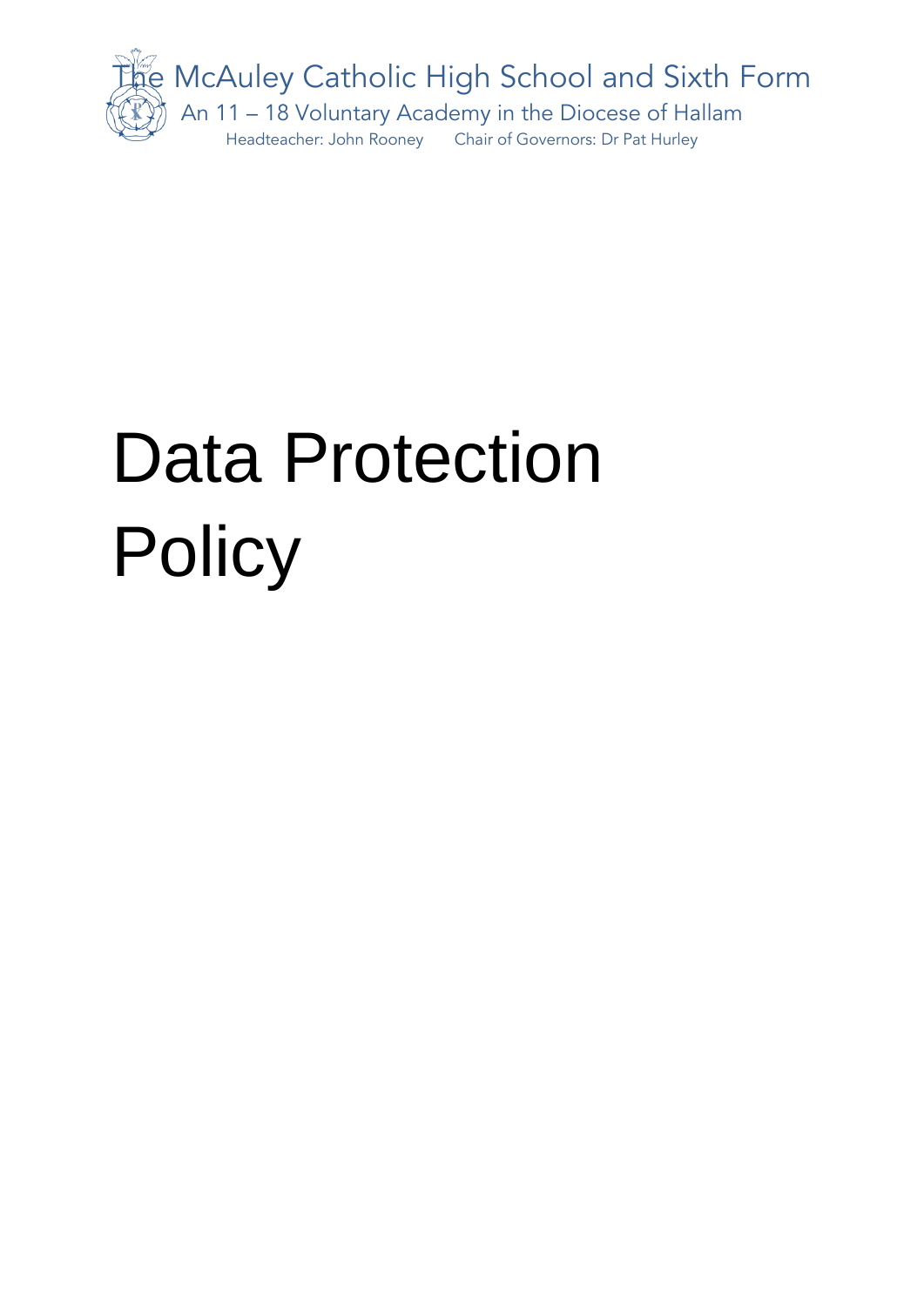

# Data Protection **Policy**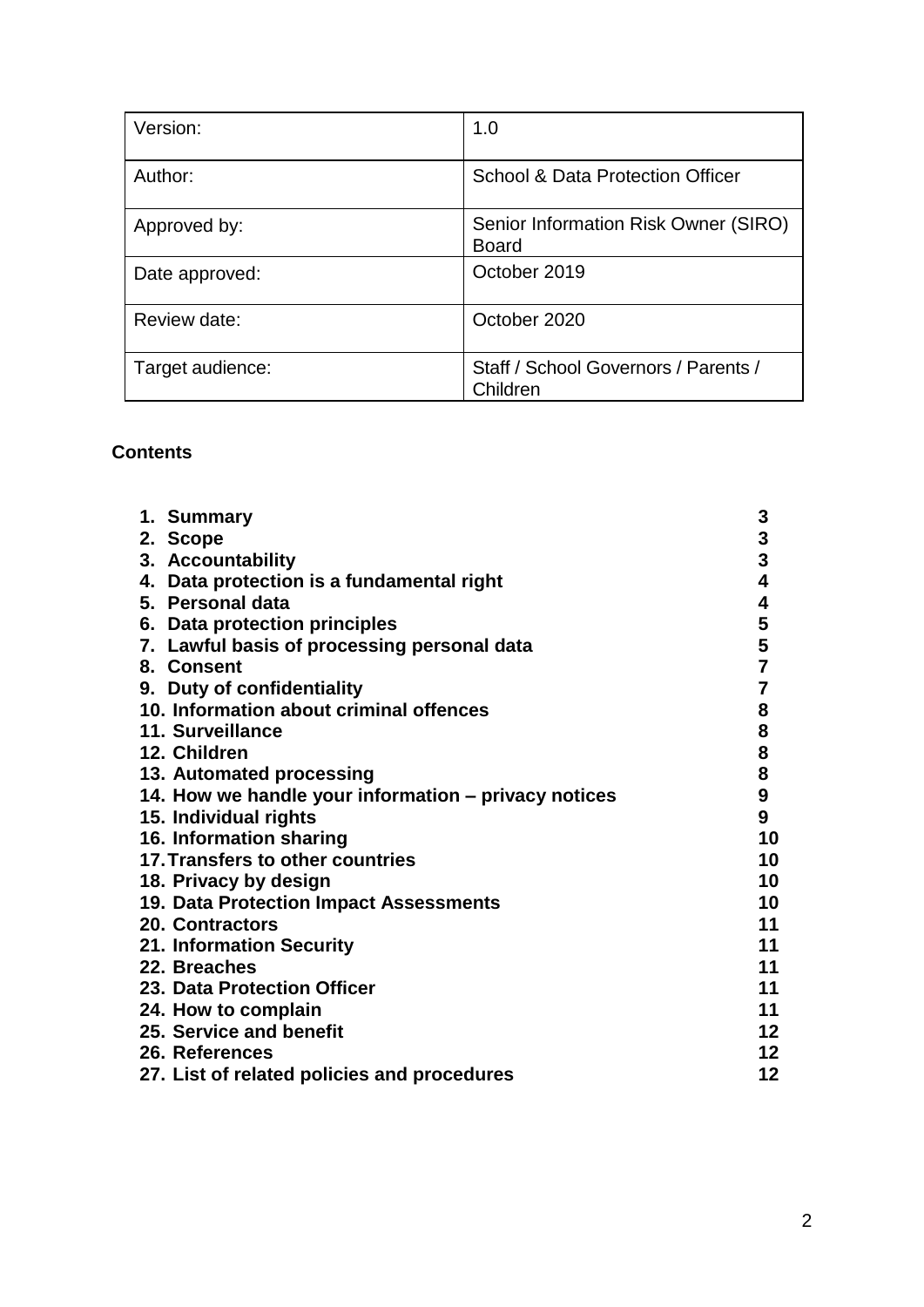| Version:         | 1.0                                                  |
|------------------|------------------------------------------------------|
| Author:          | <b>School &amp; Data Protection Officer</b>          |
| Approved by:     | Senior Information Risk Owner (SIRO)<br><b>Board</b> |
| Date approved:   | October 2019                                         |
| Review date:     | October 2020                                         |
| Target audience: | Staff / School Governors / Parents /<br>Children     |

#### **Contents**

| 3<br>1. Summary<br>$\frac{3}{3}$<br>2. Scope<br>3. Accountability        |
|--------------------------------------------------------------------------|
|                                                                          |
|                                                                          |
|                                                                          |
| $\overline{\mathbf{4}}$<br>4. Data protection is a fundamental right     |
| 4<br>5. Personal data                                                    |
| 6. Data protection principles                                            |
| 5<br>5<br>7<br>7. Lawful basis of processing personal data               |
| 8. Consent                                                               |
| $\overline{\mathbf{7}}$<br>9. Duty of confidentiality                    |
| 8<br>10. Information about criminal offences                             |
| 8<br>11. Surveillance                                                    |
| 8<br>12. Children                                                        |
| 8<br>13. Automated processing                                            |
| $\boldsymbol{9}$<br>14. How we handle your information – privacy notices |
| 9<br>15. Individual rights                                               |
| 16. Information sharing<br>10                                            |
| 10<br>17. Transfers to other countries                                   |
| 10<br>18. Privacy by design                                              |
| 19. Data Protection Impact Assessments<br>10                             |
| 11<br><b>20. Contractors</b>                                             |
| 11<br>21. Information Security                                           |
| 11<br>22. Breaches                                                       |
| 23. Data Protection Officer<br>11                                        |
| 11<br>24. How to complain                                                |
| 12<br>25. Service and benefit                                            |
| 12 <sub>2</sub><br>26. References                                        |
| 12<br>27. List of related policies and procedures                        |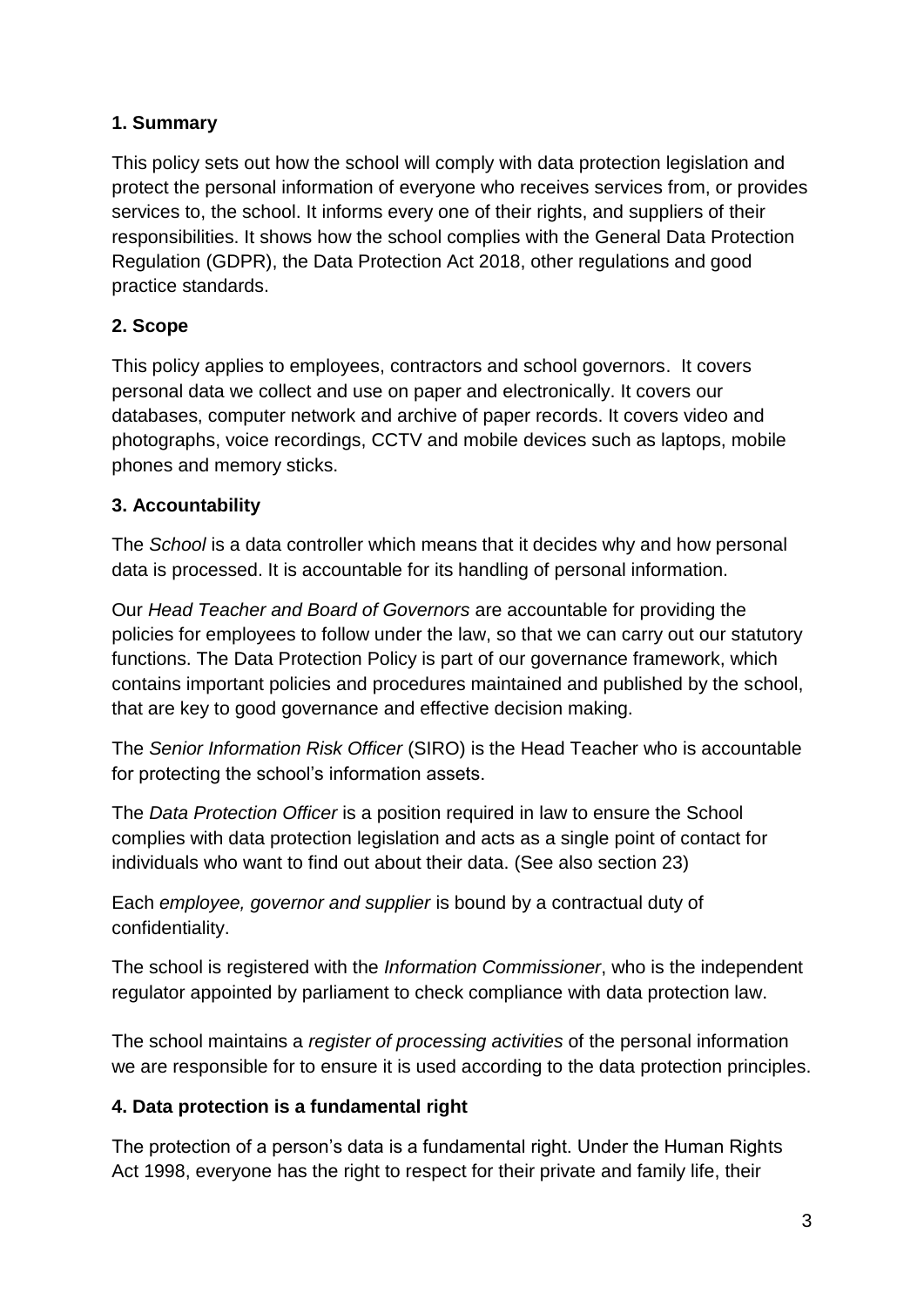# **1. Summary**

This policy sets out how the school will comply with data protection legislation and protect the personal information of everyone who receives services from, or provides services to, the school. It informs every one of their rights, and suppliers of their responsibilities. It shows how the school complies with the General Data Protection Regulation (GDPR), the Data Protection Act 2018, other regulations and good practice standards.

# **2. Scope**

This policy applies to employees, contractors and school governors. It covers personal data we collect and use on paper and electronically. It covers our databases, computer network and archive of paper records. It covers video and photographs, voice recordings, CCTV and mobile devices such as laptops, mobile phones and memory sticks.

# **3. Accountability**

The *School* is a data controller which means that it decides why and how personal data is processed. It is accountable for its handling of personal information.

Our *Head Teacher and Board of Governors* are accountable for providing the policies for employees to follow under the law, so that we can carry out our statutory functions. The Data Protection Policy is part of our governance framework, which contains important policies and procedures maintained and published by the school, that are key to good governance and effective decision making.

The *Senior Information Risk Officer* (SIRO) is the Head Teacher who is accountable for protecting the school's information assets.

The *Data Protection Officer* is a position required in law to ensure the School complies with data protection legislation and acts as a single point of contact for individuals who want to find out about their data. (See also section 23)

Each *employee, governor and supplier* is bound by a contractual duty of confidentiality.

The school is registered with the *Information Commissioner*, who is the independent regulator appointed by parliament to check compliance with data protection law.

The school maintains a *register of processing activities* of the personal information we are responsible for to ensure it is used according to the data protection principles.

# **4. Data protection is a fundamental right**

The protection of a person's data is a fundamental right. Under the Human Rights Act 1998, everyone has the right to respect for their private and family life, their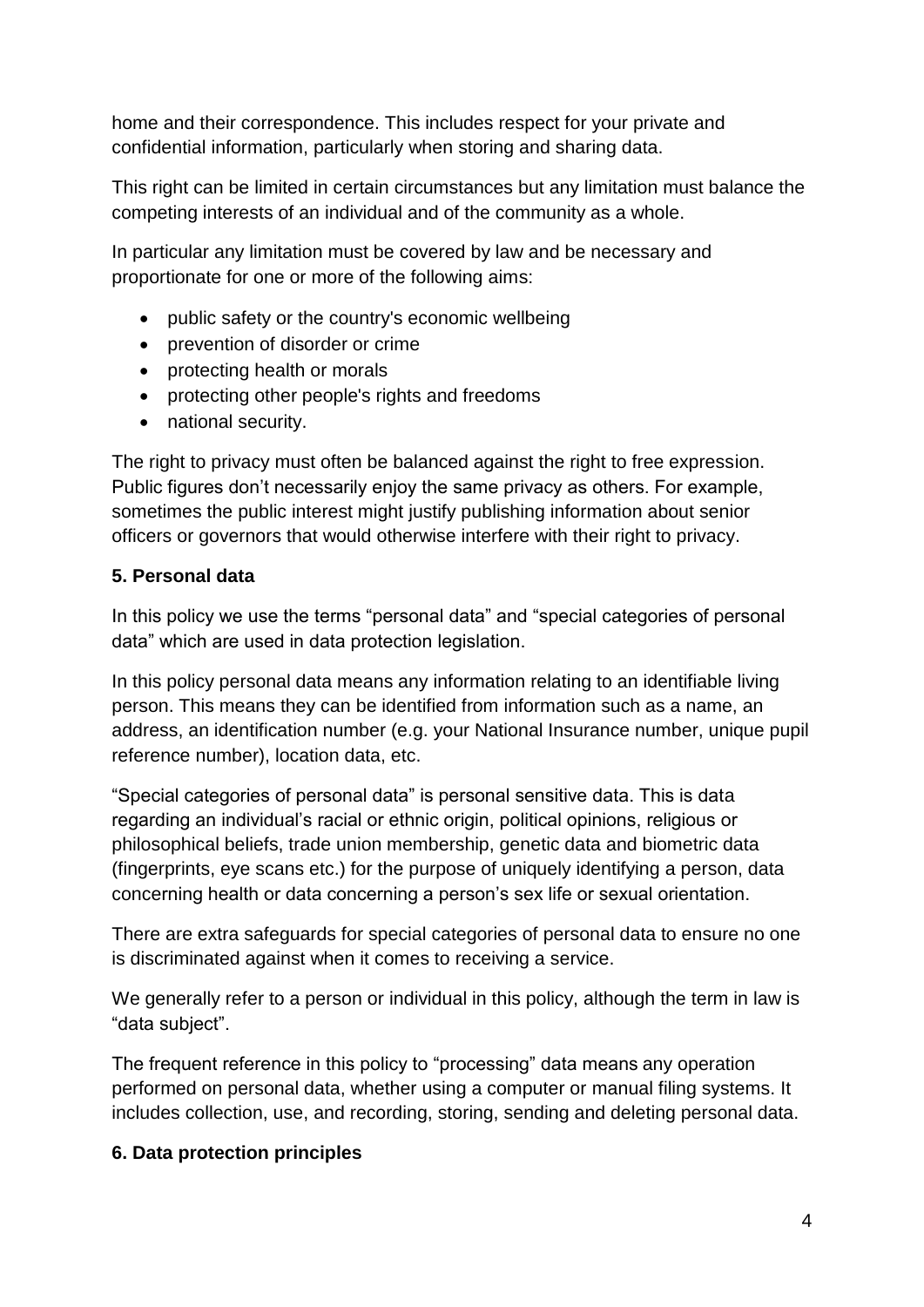home and their correspondence. This includes respect for your private and confidential information, particularly when storing and sharing data.

This right can be limited in certain circumstances but any limitation must balance the competing interests of an individual and of the community as a whole.

In particular any limitation must be covered by law and be necessary and proportionate for one or more of the following aims:

- public safety or the country's economic wellbeing
- prevention of disorder or crime
- protecting health or morals
- protecting other people's rights and freedoms
- national security.

The right to privacy must often be balanced against the right to free expression. Public figures don't necessarily enjoy the same privacy as others. For example, sometimes the public interest might justify publishing information about senior officers or governors that would otherwise interfere with their right to privacy.

## **5. Personal data**

In this policy we use the terms "personal data" and "special categories of personal data" which are used in data protection legislation.

In this policy personal data means any information relating to an identifiable living person. This means they can be identified from information such as a name, an address, an identification number (e.g. your National Insurance number, unique pupil reference number), location data, etc.

"Special categories of personal data" is personal sensitive data. This is data regarding an individual's racial or ethnic origin, political opinions, religious or philosophical beliefs, trade union membership, genetic data and biometric data (fingerprints, eye scans etc.) for the purpose of uniquely identifying a person, data concerning health or data concerning a person's sex life or sexual orientation.

There are extra safeguards for special categories of personal data to ensure no one is discriminated against when it comes to receiving a service.

We generally refer to a person or individual in this policy, although the term in law is "data subject".

The frequent reference in this policy to "processing" data means any operation performed on personal data, whether using a computer or manual filing systems. It includes collection, use, and recording, storing, sending and deleting personal data.

#### **6. Data protection principles**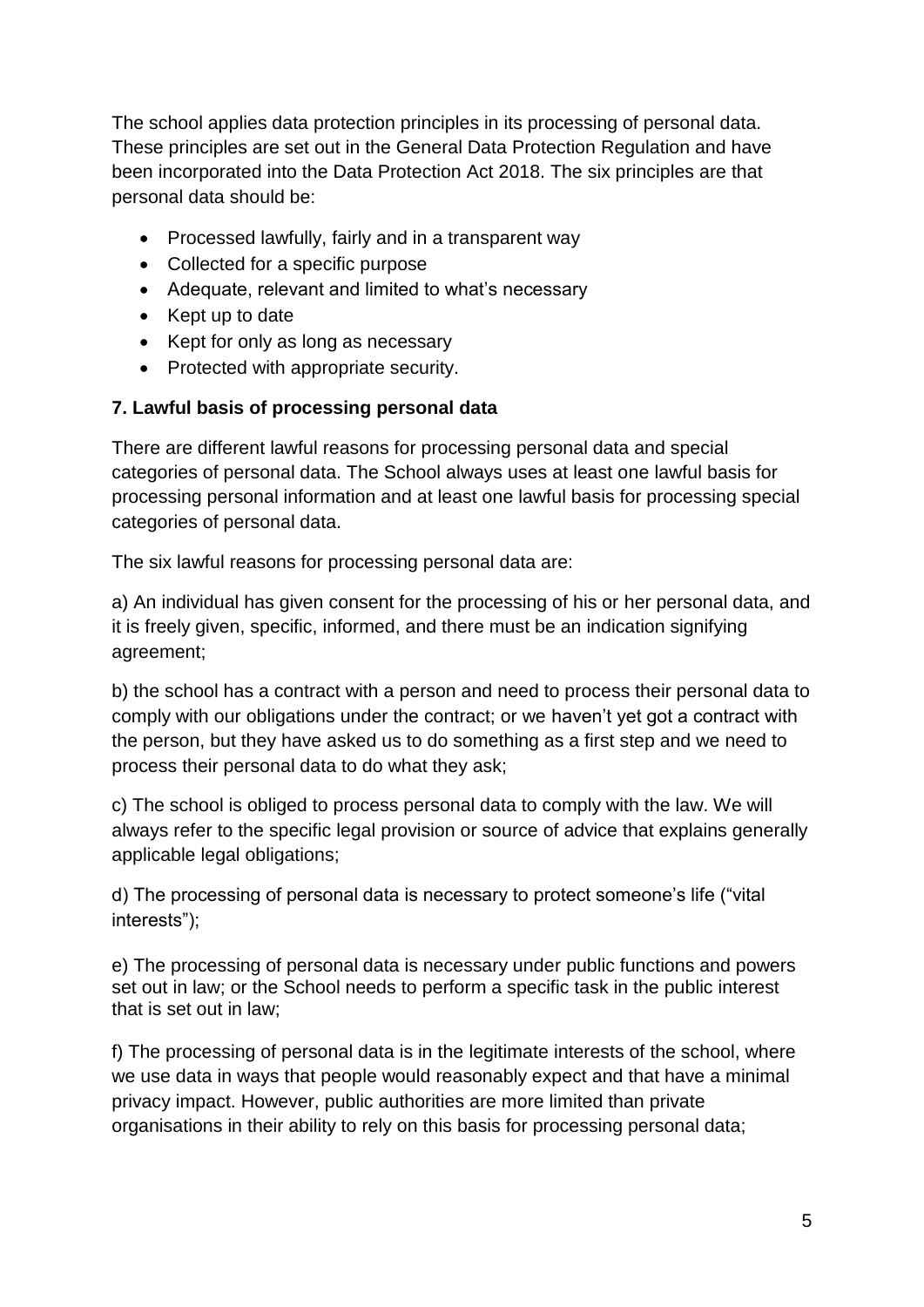The school applies data protection principles in its processing of personal data. These principles are set out in the General Data Protection Regulation and have been incorporated into the Data Protection Act 2018. The six principles are that personal data should be:

- Processed lawfully, fairly and in a transparent way
- Collected for a specific purpose
- Adequate, relevant and limited to what's necessary
- Kept up to date
- Kept for only as long as necessary
- Protected with appropriate security.

#### **7. Lawful basis of processing personal data**

There are different lawful reasons for processing personal data and special categories of personal data. The School always uses at least one lawful basis for processing personal information and at least one lawful basis for processing special categories of personal data.

The six lawful reasons for processing personal data are:

a) An individual has given consent for the processing of his or her personal data, and it is freely given, specific, informed, and there must be an indication signifying agreement;

b) the school has a contract with a person and need to process their personal data to comply with our obligations under the contract; or we haven't yet got a contract with the person, but they have asked us to do something as a first step and we need to process their personal data to do what they ask;

c) The school is obliged to process personal data to comply with the law. We will always refer to the specific legal provision or source of advice that explains generally applicable legal obligations;

d) The processing of personal data is necessary to protect someone's life ("vital interests");

e) The processing of personal data is necessary under public functions and powers set out in law; or the School needs to perform a specific task in the public interest that is set out in law;

f) The processing of personal data is in the legitimate interests of the school, where we use data in ways that people would reasonably expect and that have a minimal privacy impact. However, public authorities are more limited than private organisations in their ability to rely on this basis for processing personal data;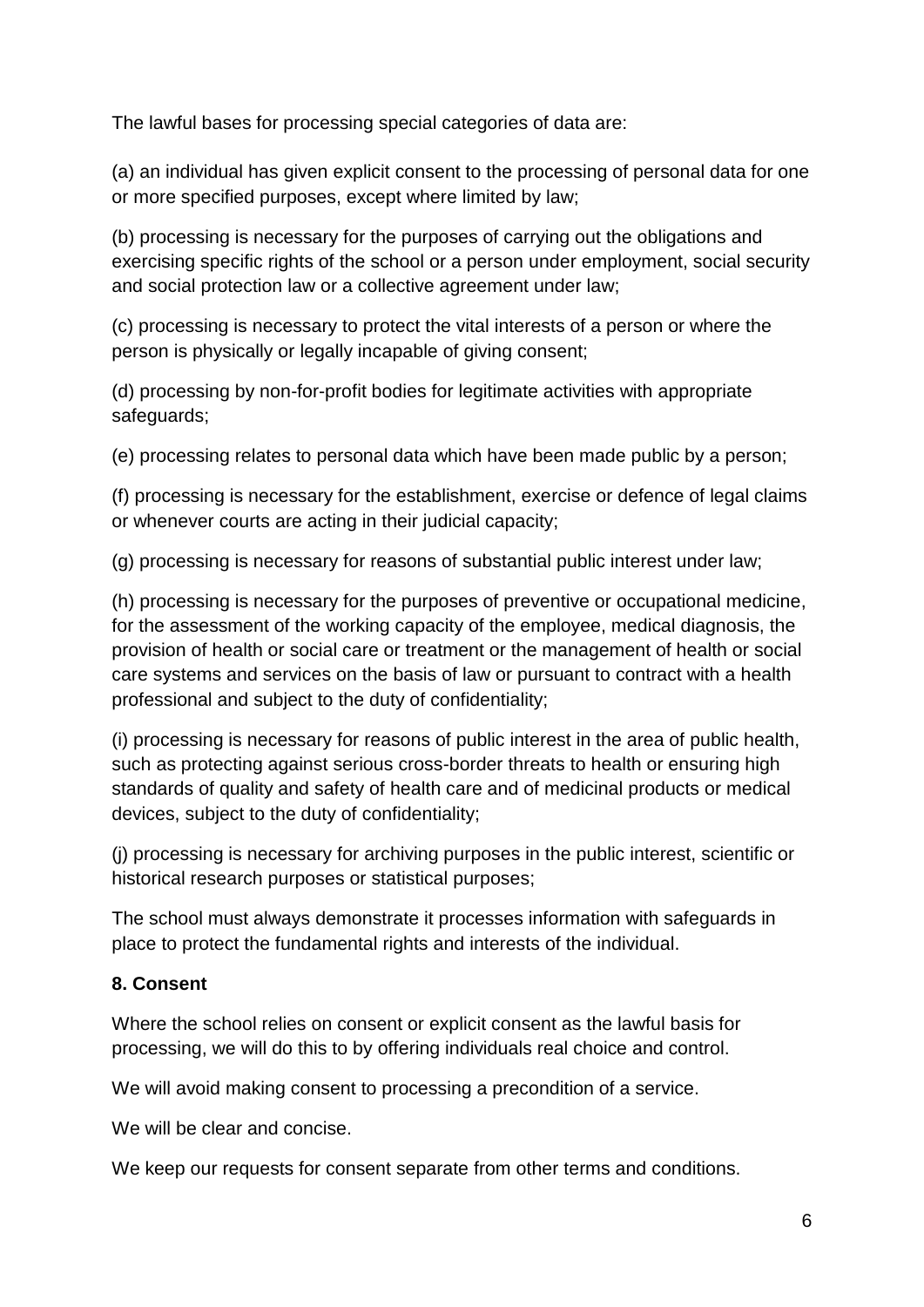The lawful bases for processing special categories of data are:

(a) an individual has given explicit consent to the processing of personal data for one or more specified purposes, except where limited by law;

(b) processing is necessary for the purposes of carrying out the obligations and exercising specific rights of the school or a person under employment, social security and social protection law or a collective agreement under law;

(c) processing is necessary to protect the vital interests of a person or where the person is physically or legally incapable of giving consent;

(d) processing by non-for-profit bodies for legitimate activities with appropriate safeguards;

(e) processing relates to personal data which have been made public by a person;

(f) processing is necessary for the establishment, exercise or defence of legal claims or whenever courts are acting in their judicial capacity;

(g) processing is necessary for reasons of substantial public interest under law;

(h) processing is necessary for the purposes of preventive or occupational medicine, for the assessment of the working capacity of the employee, medical diagnosis, the provision of health or social care or treatment or the management of health or social care systems and services on the basis of law or pursuant to contract with a health professional and subject to the duty of confidentiality;

(i) processing is necessary for reasons of public interest in the area of public health, such as protecting against serious cross-border threats to health or ensuring high standards of quality and safety of health care and of medicinal products or medical devices, subject to the duty of confidentiality;

(j) processing is necessary for archiving purposes in the public interest, scientific or historical research purposes or statistical purposes;

The school must always demonstrate it processes information with safeguards in place to protect the fundamental rights and interests of the individual.

# **8. Consent**

Where the school relies on consent or explicit consent as the lawful basis for processing, we will do this to by offering individuals real choice and control.

We will avoid making consent to processing a precondition of a service.

We will be clear and concise.

We keep our requests for consent separate from other terms and conditions.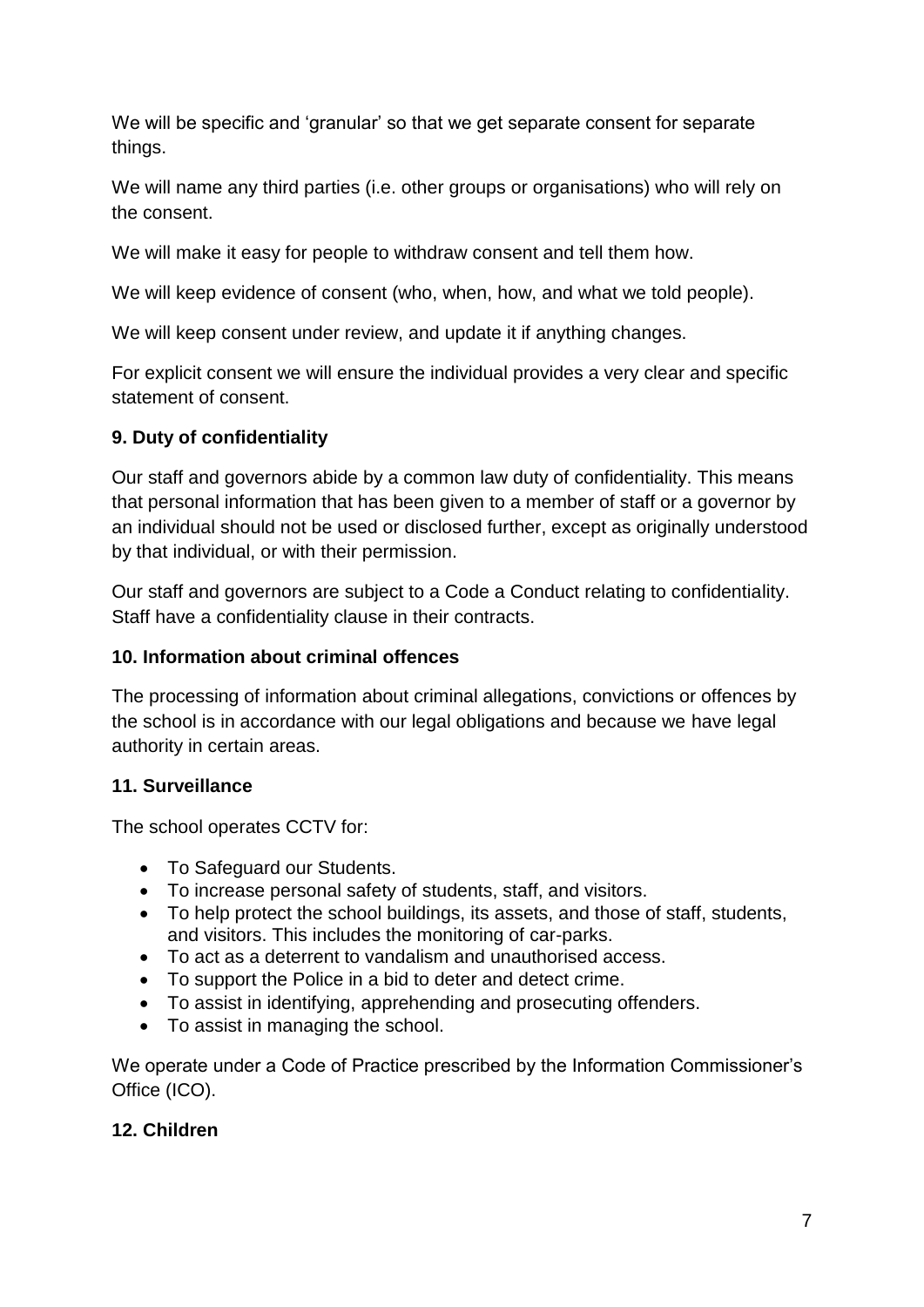We will be specific and 'granular' so that we get separate consent for separate things.

We will name any third parties (i.e. other groups or organisations) who will rely on the consent.

We will make it easy for people to withdraw consent and tell them how.

We will keep evidence of consent (who, when, how, and what we told people).

We will keep consent under review, and update it if anything changes.

For explicit consent we will ensure the individual provides a very clear and specific statement of consent.

## **9. Duty of confidentiality**

Our staff and governors abide by a common law duty of confidentiality. This means that personal information that has been given to a member of staff or a governor by an individual should not be used or disclosed further, except as originally understood by that individual, or with their permission.

Our staff and governors are subject to a Code a Conduct relating to confidentiality. Staff have a confidentiality clause in their contracts.

# **10. Information about criminal offences**

The processing of information about criminal allegations, convictions or offences by the school is in accordance with our legal obligations and because we have legal authority in certain areas.

# **11. Surveillance**

The school operates CCTV for:

- To Safeguard our Students.
- To increase personal safety of students, staff, and visitors.
- To help protect the school buildings, its assets, and those of staff, students, and visitors. This includes the monitoring of car-parks.
- To act as a deterrent to vandalism and unauthorised access.
- To support the Police in a bid to deter and detect crime.
- To assist in identifying, apprehending and prosecuting offenders.
- To assist in managing the school.

We operate under a Code of Practice prescribed by the Information Commissioner's Office (ICO).

# **12. Children**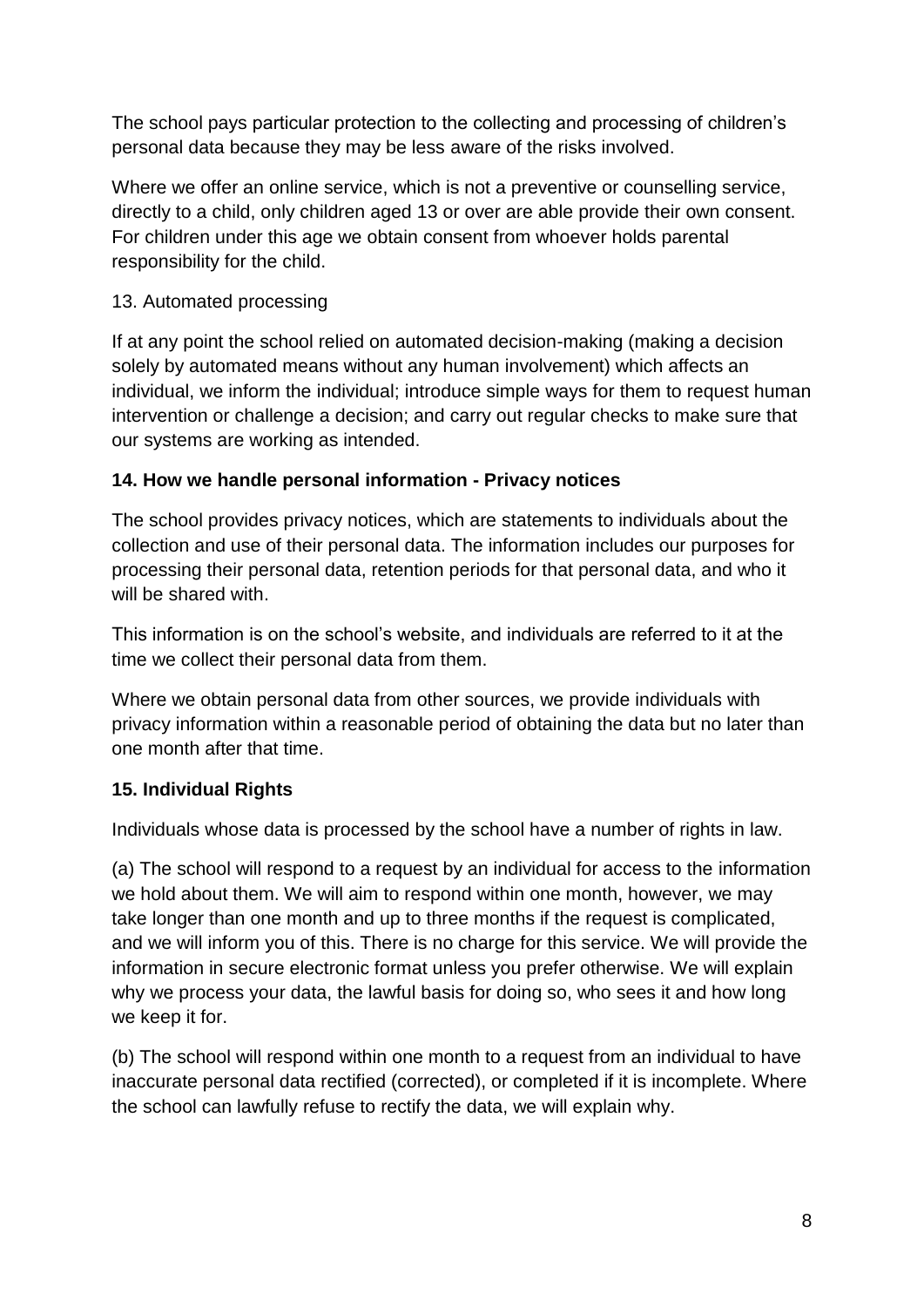The school pays particular protection to the collecting and processing of children's personal data because they may be less aware of the risks involved.

Where we offer an online service, which is not a preventive or counselling service, directly to a child, only children aged 13 or over are able provide their own consent. For children under this age we obtain consent from whoever holds parental responsibility for the child.

## 13. Automated processing

If at any point the school relied on automated decision-making (making a decision solely by automated means without any human involvement) which affects an individual, we inform the individual; introduce simple ways for them to request human intervention or challenge a decision; and carry out regular checks to make sure that our systems are working as intended.

## **14. How we handle personal information - Privacy notices**

The school provides privacy notices, which are statements to individuals about the collection and use of their personal data. The information includes our purposes for processing their personal data, retention periods for that personal data, and who it will be shared with.

This information is on the school's website, and individuals are referred to it at the time we collect their personal data from them.

Where we obtain personal data from other sources, we provide individuals with privacy information within a reasonable period of obtaining the data but no later than one month after that time.

# **15. Individual Rights**

Individuals whose data is processed by the school have a number of rights in law.

(a) The school will respond to a request by an individual for access to the information we hold about them. We will aim to respond within one month, however, we may take longer than one month and up to three months if the request is complicated, and we will inform you of this. There is no charge for this service. We will provide the information in secure electronic format unless you prefer otherwise. We will explain why we process your data, the lawful basis for doing so, who sees it and how long we keep it for.

(b) The school will respond within one month to a request from an individual to have inaccurate personal data rectified (corrected), or completed if it is incomplete. Where the school can lawfully refuse to rectify the data, we will explain why.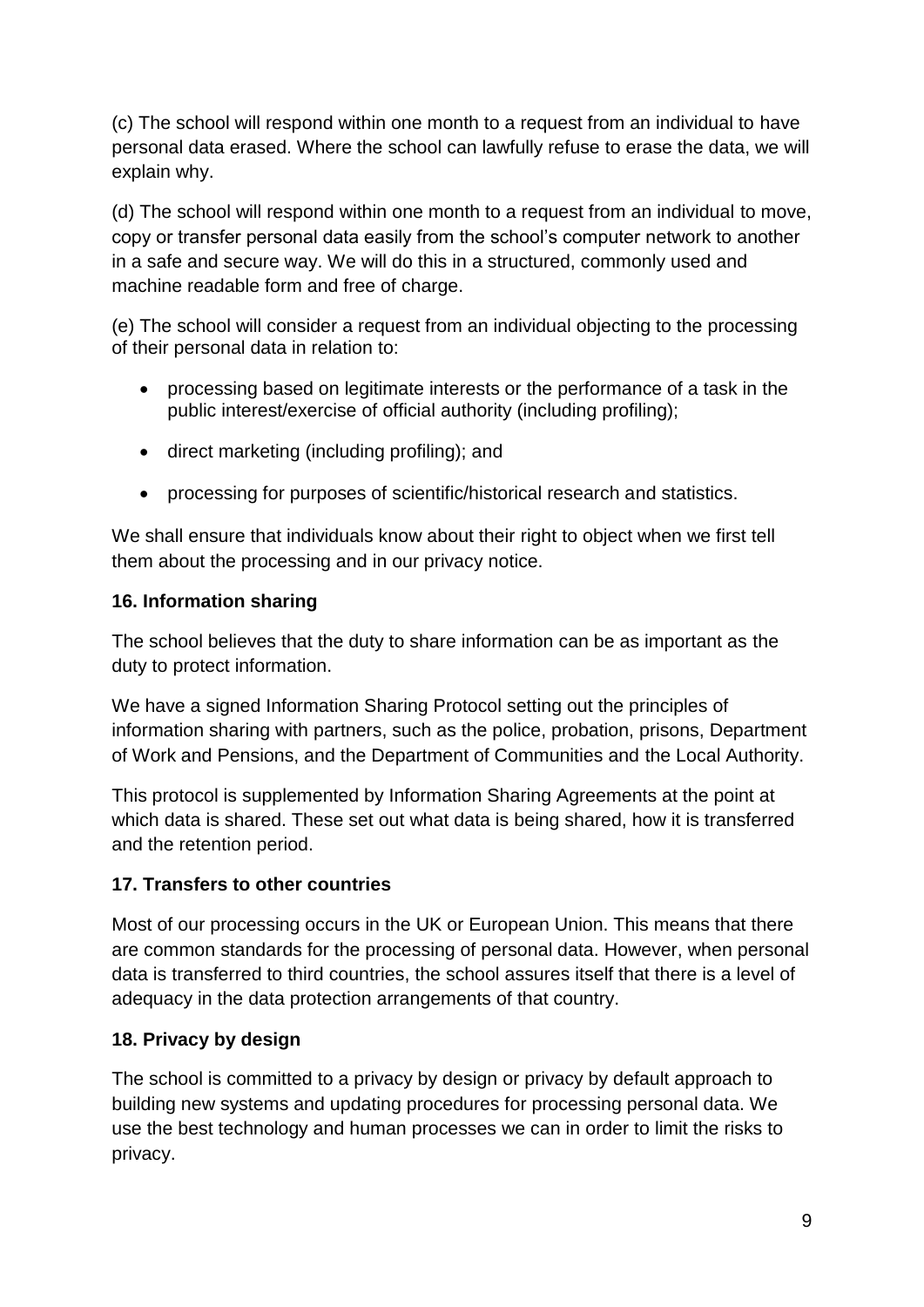(c) The school will respond within one month to a request from an individual to have personal data erased. Where the school can lawfully refuse to erase the data, we will explain why.

(d) The school will respond within one month to a request from an individual to move, copy or transfer personal data easily from the school's computer network to another in a safe and secure way. We will do this in a structured, commonly used and machine readable form and free of charge.

(e) The school will consider a request from an individual objecting to the processing of their personal data in relation to:

- processing based on legitimate interests or the performance of a task in the public interest/exercise of official authority (including profiling);
- direct marketing (including profiling); and
- processing for purposes of scientific/historical research and statistics.

We shall ensure that individuals know about their right to object when we first tell them about the processing and in our privacy notice.

## **16. Information sharing**

The school believes that the duty to share information can be as important as the duty to protect information.

We have a signed Information Sharing Protocol setting out the principles of information sharing with partners, such as the police, probation, prisons, Department of Work and Pensions, and the Department of Communities and the Local Authority.

This protocol is supplemented by Information Sharing Agreements at the point at which data is shared. These set out what data is being shared, how it is transferred and the retention period.

# **17. Transfers to other countries**

Most of our processing occurs in the UK or European Union. This means that there are common standards for the processing of personal data. However, when personal data is transferred to third countries, the school assures itself that there is a level of adequacy in the data protection arrangements of that country.

# **18. Privacy by design**

The school is committed to a privacy by design or privacy by default approach to building new systems and updating procedures for processing personal data. We use the best technology and human processes we can in order to limit the risks to privacy.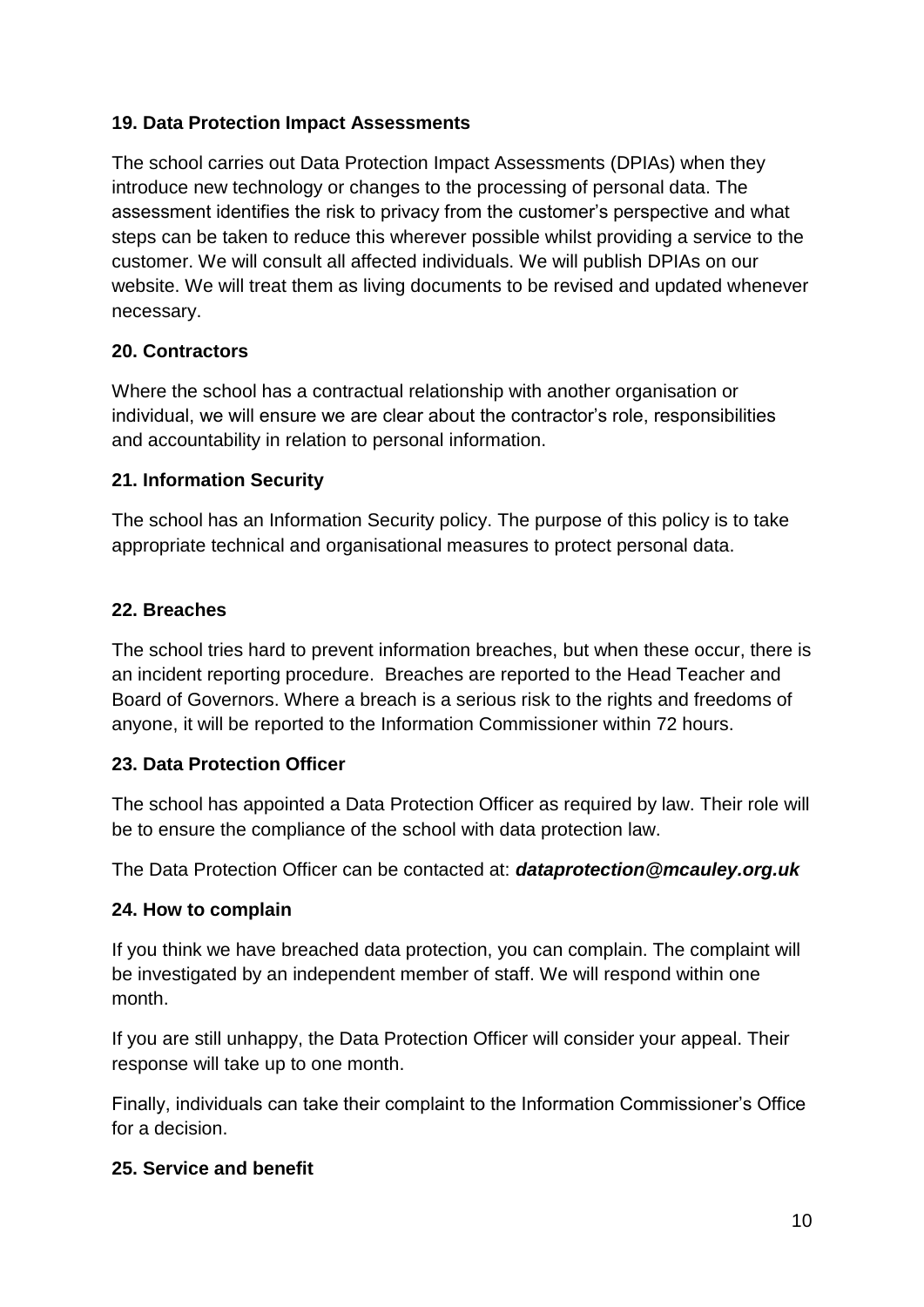## **19. Data Protection Impact Assessments**

The school carries out Data Protection Impact Assessments (DPIAs) when they introduce new technology or changes to the processing of personal data. The assessment identifies the risk to privacy from the customer's perspective and what steps can be taken to reduce this wherever possible whilst providing a service to the customer. We will consult all affected individuals. We will publish DPIAs on our website. We will treat them as living documents to be revised and updated whenever necessary.

#### **20. Contractors**

Where the school has a contractual relationship with another organisation or individual, we will ensure we are clear about the contractor's role, responsibilities and accountability in relation to personal information.

## **21. Information Security**

The school has an Information Security policy. The purpose of this policy is to take appropriate technical and organisational measures to protect personal data.

## **22. Breaches**

The school tries hard to prevent information breaches, but when these occur, there is an incident reporting procedure. Breaches are reported to the Head Teacher and Board of Governors. Where a breach is a serious risk to the rights and freedoms of anyone, it will be reported to the Information Commissioner within 72 hours.

#### **23. Data Protection Officer**

The school has appointed a Data Protection Officer as required by law. Their role will be to ensure the compliance of the school with data protection law.

The Data Protection Officer can be contacted at: *dataprotection@mcauley.org.uk*

#### **24. How to complain**

If you think we have breached data protection, you can complain. The complaint will be investigated by an independent member of staff. We will respond within one month.

If you are still unhappy, the Data Protection Officer will consider your appeal. Their response will take up to one month.

Finally, individuals can take their complaint to the Information Commissioner's Office for a decision.

#### **25. Service and benefit**